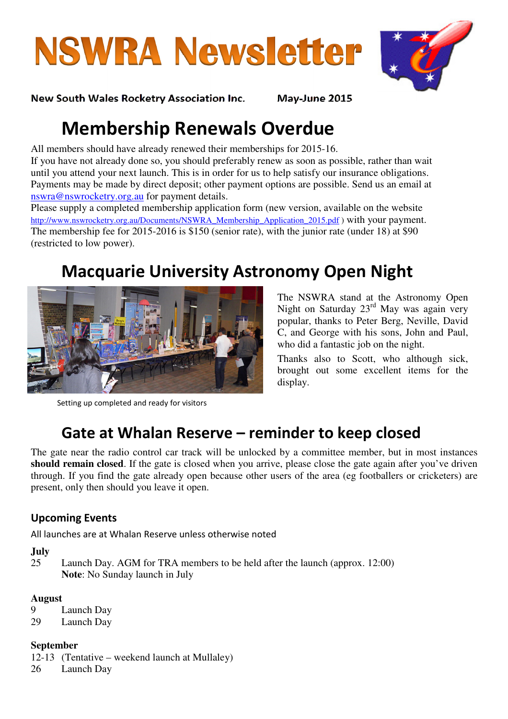



New South Wales Rocketry Association Inc. May-June 2015

# Membership Renewals Overdue

All members should have already renewed their memberships for 2015-16. If you have not already done so, you should preferably renew as soon as possible, rather than wait until you attend your next launch. This is in order for us to help satisfy our insurance obligations. Payments may be made by direct deposit; other payment options are possible. Send us an email at nswra@nswrocketry.org.au for payment details.

Please supply a completed membership application form (new version, available on the website http://www.nswrocketry.org.au/Documents/NSWRA\_Membership\_Application\_2015.pdf ) with your payment. The membership fee for 2015-2016 is \$150 (senior rate), with the junior rate (under 18) at \$90 (restricted to low power).

## Macquarie University Astronomy Open Night



Setting up completed and ready for visitors

The NSWRA stand at the Astronomy Open Night on Saturday  $23<sup>rd</sup>$  May was again very popular, thanks to Peter Berg, Neville, David C, and George with his sons, John and Paul, who did a fantastic job on the night.

Thanks also to Scott, who although sick, brought out some excellent items for the display.

## Gate at Whalan Reserve – reminder to keep closed

The gate near the radio control car track will be unlocked by a committee member, but in most instances **should remain closed**. If the gate is closed when you arrive, please close the gate again after you've driven through. If you find the gate already open because other users of the area (eg footballers or cricketers) are present, only then should you leave it open.

### Upcoming Events

All launches are at Whalan Reserve unless otherwise noted

#### **July**

25 Launch Day. AGM for TRA members to be held after the launch (approx. 12:00) **Note**: No Sunday launch in July

#### **August**

- 9 Launch Day
- 29 Launch Day

#### **September**

- 12-13 (Tentative weekend launch at Mullaley)
- 26 Launch Day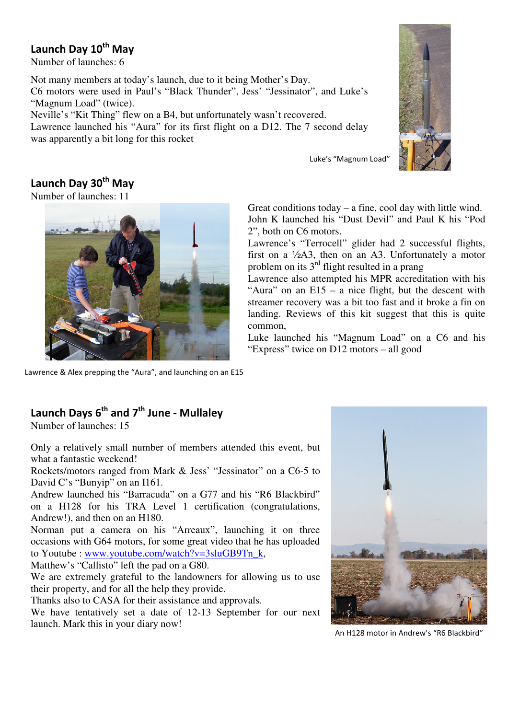## Launch Day 10<sup>th</sup> May

Number of launches: 6

Not many members at today's launch, due to it being Mother's Day. C6 motors were used in Paul's "Black Thunder", Jess' "Jessinator", and Luke's "Magnum Load" (twice).

Neville's "Kit Thing" flew on a B4, but unfortunately wasn't recovered. Lawrence launched his "Aura" for its first flight on a D12. The 7 second delay was apparently a bit long for this rocket



Luke's "Magnum Load"

### Launch Day 30<sup>th</sup> May

Number of launches: 11



Lawrence & Alex prepping the "Aura", and launching on an E15

#### Great conditions today – a fine, cool day with little wind. John K launched his "Dust Devil" and Paul K his "Pod 2", both on C6 motors.

Lawrence's "Terrocell" glider had 2 successful flights, first on a ½A3, then on an A3. Unfortunately a motor problem on its  $3<sup>rd</sup>$  flight resulted in a prang

Lawrence also attempted his MPR accreditation with his "Aura" on an  $E15 - a$  nice flight, but the descent with streamer recovery was a bit too fast and it broke a fin on landing. Reviews of this kit suggest that this is quite common,

Luke launched his "Magnum Load" on a C6 and his "Express" twice on D12 motors – all good

## Launch Days 6<sup>th</sup> and 7<sup>th</sup> June - Mullaley

Number of launches: 15

Only a relatively small number of members attended this event, but what a fantastic weekend!

Rockets/motors ranged from Mark & Jess' "Jessinator" on a C6-5 to David C's "Bunyip" on an I161.

Andrew launched his "Barracuda" on a G77 and his "R6 Blackbird" on a H128 for his TRA Level 1 certification (congratulations, Andrew!), and then on an H180.

Norman put a camera on his "Arreaux", launching it on three occasions with G64 motors, for some great video that he has uploaded to Youtube : www.youtube.com/watch?v=3sluGB9Tn\_k,

Matthew's "Callisto" left the pad on a G80.

We are extremely grateful to the landowners for allowing us to use their property, and for all the help they provide.

Thanks also to CASA for their assistance and approvals.

We have tentatively set a date of 12-13 September for our next launch. Mark this in your diary now!



An H128 motor in Andrew's "R6 Blackbird"